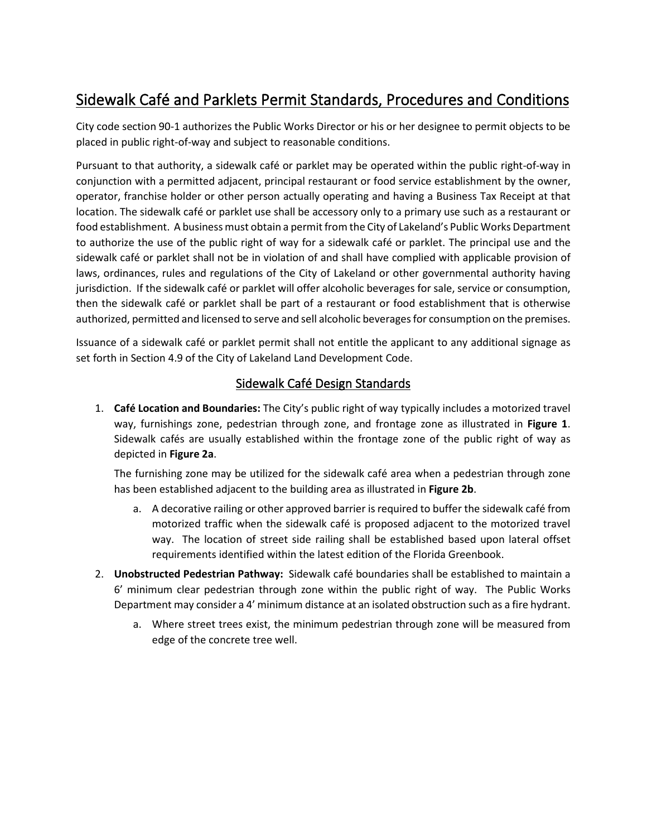# Sidewalk Café and Parklets Permit Standards, Procedures and Conditions

City code section 90-1 authorizes the Public Works Director or his or her designee to permit objects to be placed in public right-of-way and subject to reasonable conditions.

Pursuant to that authority, a sidewalk café or parklet may be operated within the public right-of-way in conjunction with a permitted adjacent, principal restaurant or food service establishment by the owner, operator, franchise holder or other person actually operating and having a Business Tax Receipt at that location. The sidewalk café or parklet use shall be accessory only to a primary use such as a restaurant or food establishment. A business must obtain a permit from the City of Lakeland's Public Works Department to authorize the use of the public right of way for a sidewalk café or parklet. The principal use and the sidewalk café or parklet shall not be in violation of and shall have complied with applicable provision of laws, ordinances, rules and regulations of the City of Lakeland or other governmental authority having jurisdiction. If the sidewalk café or parklet will offer alcoholic beverages for sale, service or consumption, then the sidewalk café or parklet shall be part of a restaurant or food establishment that is otherwise authorized, permitted and licensed to serve and sell alcoholic beverages for consumption on the premises.

Issuance of a sidewalk café or parklet permit shall not entitle the applicant to any additional signage as set forth in Section 4.9 of the City of Lakeland Land Development Code.

### Sidewalk Café Design Standards

1. **Café Location and Boundaries:** The City's public right of way typically includes a motorized travel way, furnishings zone, pedestrian through zone, and frontage zone as illustrated in **Figure 1**. Sidewalk cafés are usually established within the frontage zone of the public right of way as depicted in **Figure 2a**.

The furnishing zone may be utilized for the sidewalk café area when a pedestrian through zone has been established adjacent to the building area as illustrated in **Figure 2b**.

- a. A decorative railing or other approved barrier is required to buffer the sidewalk café from motorized traffic when the sidewalk café is proposed adjacent to the motorized travel way. The location of street side railing shall be established based upon lateral offset requirements identified within the latest edition of the Florida Greenbook.
- 2. **Unobstructed Pedestrian Pathway:** Sidewalk café boundaries shall be established to maintain a 6' minimum clear pedestrian through zone within the public right of way. The Public Works Department may consider a 4' minimum distance at an isolated obstruction such as a fire hydrant.
	- a. Where street trees exist, the minimum pedestrian through zone will be measured from edge of the concrete tree well.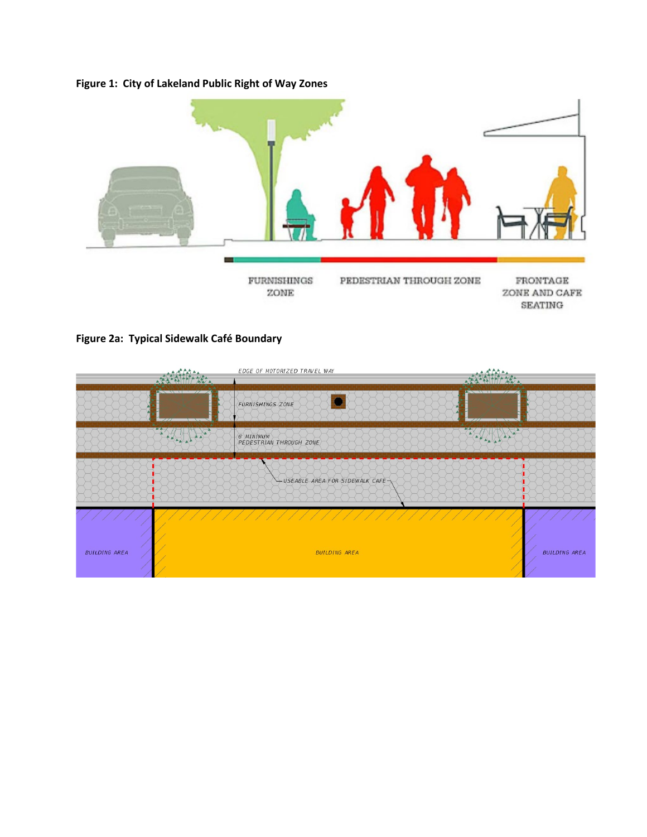# **Figure 1: City of Lakeland Public Right of Way Zones**



### **Figure 2a: Typical Sidewalk Café Boundary**

|                      |                                                     | EDGE OF MOTORIZED TRAVEL WAY          |                                                                                                                                                                                                                                                                                                                                                                                                                                                                                      |
|----------------------|-----------------------------------------------------|---------------------------------------|--------------------------------------------------------------------------------------------------------------------------------------------------------------------------------------------------------------------------------------------------------------------------------------------------------------------------------------------------------------------------------------------------------------------------------------------------------------------------------------|
|                      | $\mathbb{A}$                                        |                                       | ANA.<br>$\mathcal{L}$ . The set of $\mathcal{L}$                                                                                                                                                                                                                                                                                                                                                                                                                                     |
|                      |                                                     | <b>FURNISHINGS ZONE</b>               |                                                                                                                                                                                                                                                                                                                                                                                                                                                                                      |
|                      | $\left\langle \frac{1}{2},\frac{1}{2}\right\rangle$ | 6' MINIMUM<br>PEDESTRIAN THROUGH ZONE | $\begin{array}{ c c c c c }\hline \multicolumn{3}{ c }{\textbf{a}} & \multicolumn{3}{ c }{\textbf{a}} & \multicolumn{3}{ c }{\textbf{a}} & \multicolumn{3}{ c }{\textbf{a}} & \multicolumn{3}{ c }{\textbf{a}} & \multicolumn{3}{ c }{\textbf{a}} & \multicolumn{3}{ c }{\textbf{a}} & \multicolumn{3}{ c }{\textbf{a}} & \multicolumn{3}{ c }{\textbf{a}} & \multicolumn{3}{ c }{\textbf{a}} & \multicolumn{3}{ c }{\textbf{a}} & \multic$<br>$\triangle \overline{\blacktriangle}$ |
|                      |                                                     | $-$ USEABLE AREA FOR SIDEWALK CAFE    |                                                                                                                                                                                                                                                                                                                                                                                                                                                                                      |
|                      |                                                     |                                       |                                                                                                                                                                                                                                                                                                                                                                                                                                                                                      |
| <b>BUILDING AREA</b> |                                                     | <b>BUILDING AREA</b>                  | <b>BUILDING AREA</b>                                                                                                                                                                                                                                                                                                                                                                                                                                                                 |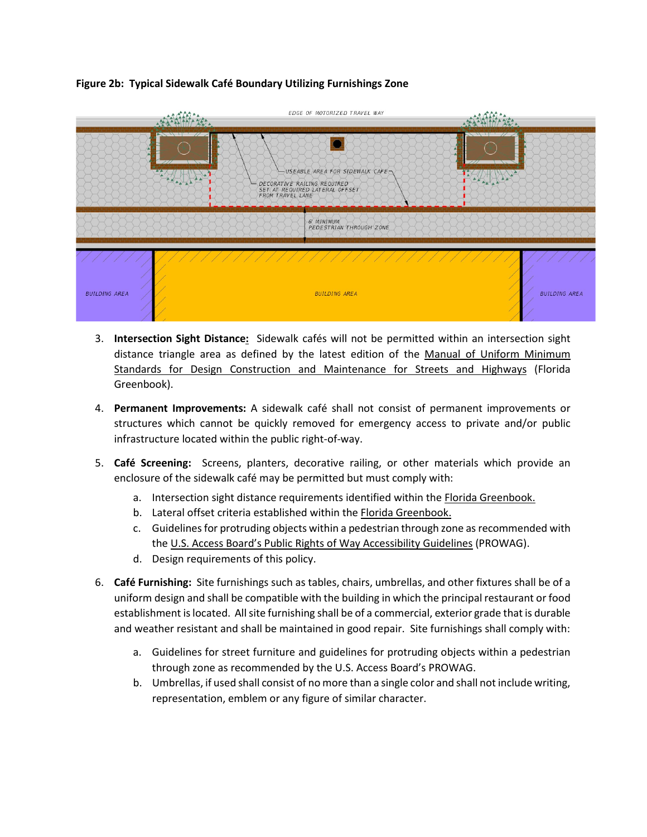#### **Figure 2b: Typical Sidewalk Café Boundary Utilizing Furnishings Zone**



- 3. **Intersection Sight Distance:** Sidewalk cafés will not be permitted within an intersection sight distance triangle area as defined by the latest edition of the Manual of Uniform Minimum Standards for Design Construction and Maintenance for Streets and Highways (Florida Greenbook).
- 4. **Permanent Improvements:** A sidewalk café shall not consist of permanent improvements or structures which cannot be quickly removed for emergency access to private and/or public infrastructure located within the public right-of-way.
- 5. **Café Screening:** Screens, planters, decorative railing, or other materials which provide an enclosure of the sidewalk café may be permitted but must comply with:
	- a. Intersection sight distance requirements identified within the Florida Greenbook.
	- b. Lateral offset criteria established within the Florida Greenbook.
	- c. Guidelines for protruding objects within a pedestrian through zone as recommended with the U.S. Access Board's Public Rights of Way Accessibility Guidelines (PROWAG).
	- d. Design requirements of this policy.
- 6. **Café Furnishing:** Site furnishings such as tables, chairs, umbrellas, and other fixtures shall be of a uniform design and shall be compatible with the building in which the principal restaurant or food establishment is located. All site furnishing shall be of a commercial, exterior grade that is durable and weather resistant and shall be maintained in good repair. Site furnishings shall comply with:
	- a. Guidelines for street furniture and guidelines for protruding objects within a pedestrian through zone as recommended by the U.S. Access Board's PROWAG.
	- b. Umbrellas, if used shall consist of no more than a single color and shall not include writing, representation, emblem or any figure of similar character.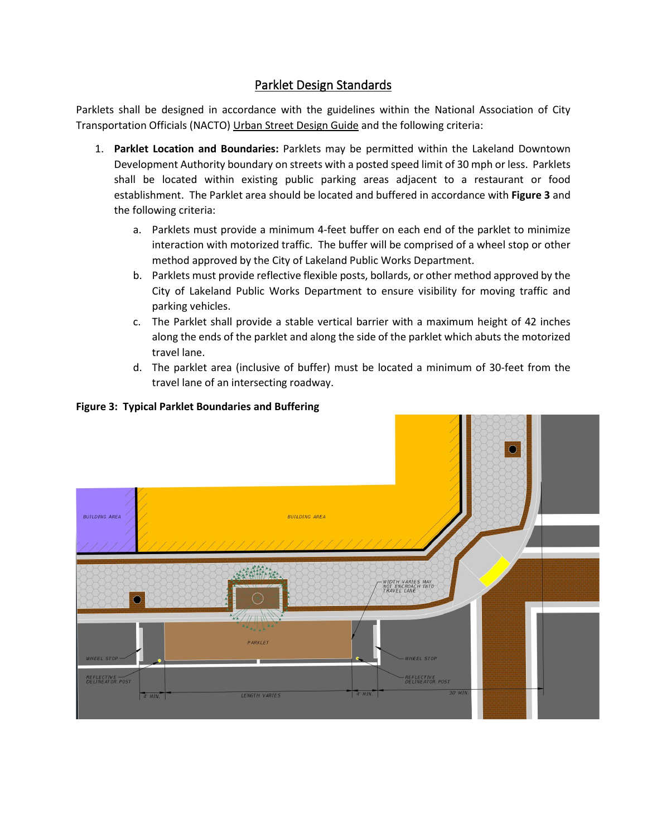# Parklet Design Standards

Parklets shall be designed in accordance with the guidelines within the National Association of City Transportation Officials (NACTO) Urban Street Design Guide and the following criteria:

- 1. **Parklet Location and Boundaries:** Parklets may be permitted within the Lakeland Downtown Development Authority boundary on streets with a posted speed limit of 30 mph or less. Parklets shall be located within existing public parking areas adjacent to a restaurant or food establishment. The Parklet area should be located and buffered in accordance with **Figure 3** and the following criteria:
	- a. Parklets must provide a minimum 4-feet buffer on each end of the parklet to minimize interaction with motorized traffic. The buffer will be comprised of a wheel stop or other method approved by the City of Lakeland Public Works Department.
	- b. Parklets must provide reflective flexible posts, bollards, or other method approved by the City of Lakeland Public Works Department to ensure visibility for moving traffic and parking vehicles.
	- c. The Parklet shall provide a stable vertical barrier with a maximum height of 42 inches along the ends of the parklet and along the side of the parklet which abuts the motorized travel lane.
	- d. The parklet area (inclusive of buffer) must be located a minimum of 30-feet from the travel lane of an intersecting roadway.

#### **Figure 3: Typical Parklet Boundaries and Buffering**

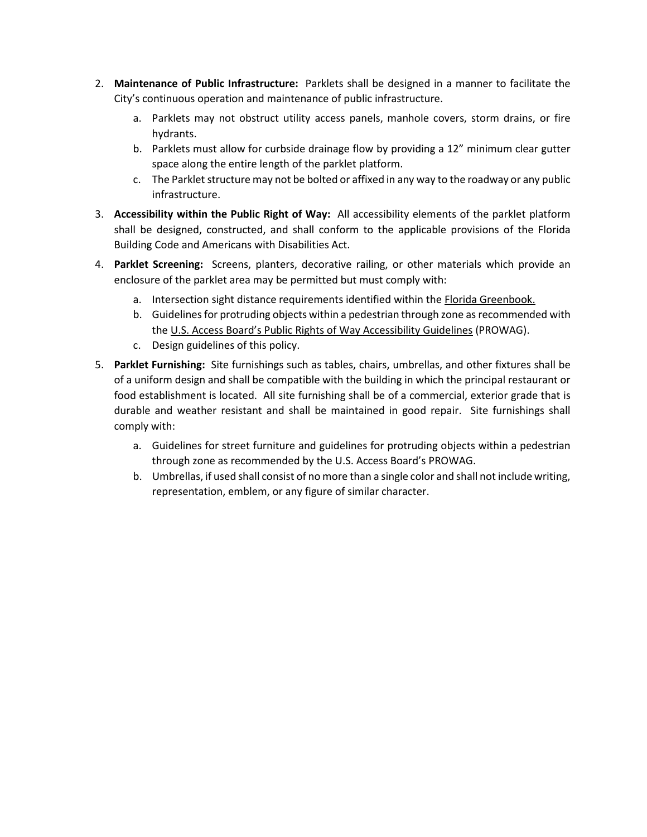- 2. **Maintenance of Public Infrastructure:** Parklets shall be designed in a manner to facilitate the City's continuous operation and maintenance of public infrastructure.
	- a. Parklets may not obstruct utility access panels, manhole covers, storm drains, or fire hydrants.
	- b. Parklets must allow for curbside drainage flow by providing a 12" minimum clear gutter space along the entire length of the parklet platform.
	- c. The Parklet structure may not be bolted or affixed in any way to the roadway or any public infrastructure.
- 3. **Accessibility within the Public Right of Way:** All accessibility elements of the parklet platform shall be designed, constructed, and shall conform to the applicable provisions of the Florida Building Code and Americans with Disabilities Act.
- 4. **Parklet Screening:** Screens, planters, decorative railing, or other materials which provide an enclosure of the parklet area may be permitted but must comply with:
	- a. Intersection sight distance requirements identified within the Florida Greenbook.
	- b. Guidelines for protruding objects within a pedestrian through zone as recommended with the U.S. Access Board's Public Rights of Way Accessibility Guidelines (PROWAG).
	- c. Design guidelines of this policy.
- 5. **Parklet Furnishing:** Site furnishings such as tables, chairs, umbrellas, and other fixtures shall be of a uniform design and shall be compatible with the building in which the principal restaurant or food establishment is located. All site furnishing shall be of a commercial, exterior grade that is durable and weather resistant and shall be maintained in good repair. Site furnishings shall comply with:
	- a. Guidelines for street furniture and guidelines for protruding objects within a pedestrian through zone as recommended by the U.S. Access Board's PROWAG.
	- b. Umbrellas, if used shall consist of no more than a single color and shall not include writing, representation, emblem, or any figure of similar character.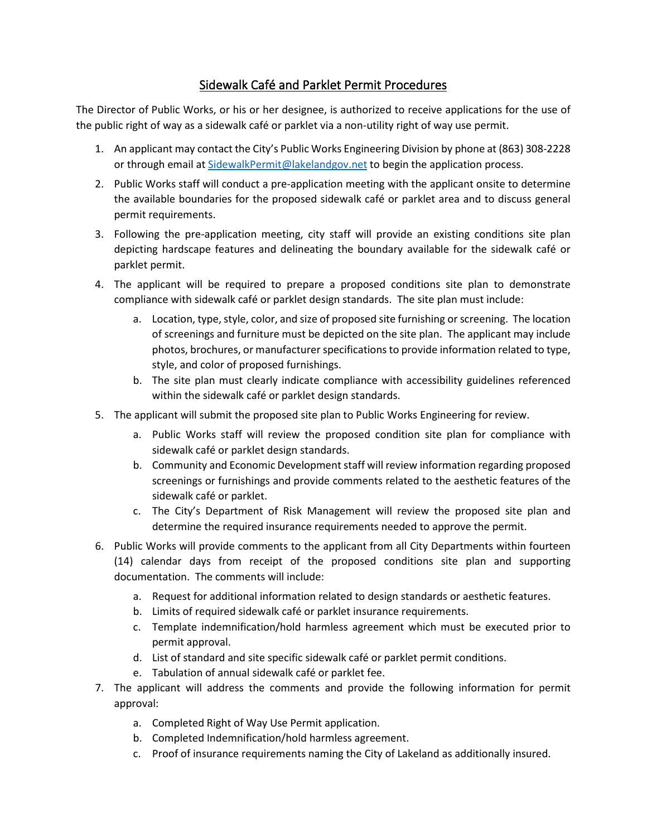### Sidewalk Café and Parklet Permit Procedures

The Director of Public Works, or his or her designee, is authorized to receive applications for the use of the public right of way as a sidewalk café or parklet via a non-utility right of way use permit.

- 1. An applicant may contact the City's Public Works Engineering Division by phone at (863) 308-2228 or through email at [SidewalkPermit@lakelandgov.net](mailto:SidewalkPermit@lakelandgov.net) to begin the application process.
- 2. Public Works staff will conduct a pre-application meeting with the applicant onsite to determine the available boundaries for the proposed sidewalk café or parklet area and to discuss general permit requirements.
- 3. Following the pre-application meeting, city staff will provide an existing conditions site plan depicting hardscape features and delineating the boundary available for the sidewalk café or parklet permit.
- 4. The applicant will be required to prepare a proposed conditions site plan to demonstrate compliance with sidewalk café or parklet design standards. The site plan must include:
	- a. Location, type, style, color, and size of proposed site furnishing or screening. The location of screenings and furniture must be depicted on the site plan. The applicant may include photos, brochures, or manufacturer specifications to provide information related to type, style, and color of proposed furnishings.
	- b. The site plan must clearly indicate compliance with accessibility guidelines referenced within the sidewalk café or parklet design standards.
- 5. The applicant will submit the proposed site plan to Public Works Engineering for review.
	- a. Public Works staff will review the proposed condition site plan for compliance with sidewalk café or parklet design standards.
	- b. Community and Economic Development staff will review information regarding proposed screenings or furnishings and provide comments related to the aesthetic features of the sidewalk café or parklet.
	- c. The City's Department of Risk Management will review the proposed site plan and determine the required insurance requirements needed to approve the permit.
- 6. Public Works will provide comments to the applicant from all City Departments within fourteen (14) calendar days from receipt of the proposed conditions site plan and supporting documentation. The comments will include:
	- a. Request for additional information related to design standards or aesthetic features.
	- b. Limits of required sidewalk café or parklet insurance requirements.
	- c. Template indemnification/hold harmless agreement which must be executed prior to permit approval.
	- d. List of standard and site specific sidewalk café or parklet permit conditions.
	- e. Tabulation of annual sidewalk café or parklet fee.
- 7. The applicant will address the comments and provide the following information for permit approval:
	- a. Completed Right of Way Use Permit application.
	- b. Completed Indemnification/hold harmless agreement.
	- c. Proof of insurance requirements naming the City of Lakeland as additionally insured.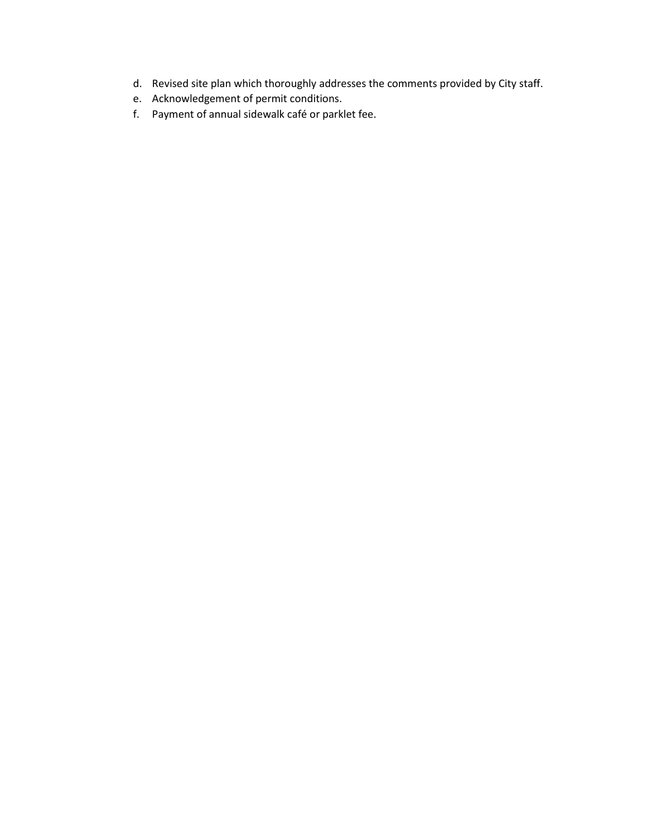- d. Revised site plan which thoroughly addresses the comments provided by City staff.
- e. Acknowledgement of permit conditions.
- f. Payment of annual sidewalk café or parklet fee.